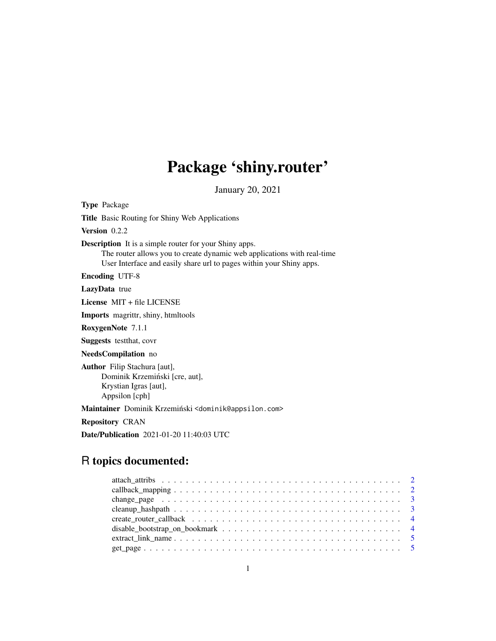# Package 'shiny.router'

January 20, 2021

Type Package Title Basic Routing for Shiny Web Applications Version 0.2.2 Description It is a simple router for your Shiny apps. The router allows you to create dynamic web applications with real-time User Interface and easily share url to pages within your Shiny apps. Encoding UTF-8 LazyData true License MIT + file LICENSE Imports magrittr, shiny, htmltools RoxygenNote 7.1.1 Suggests testthat, covr NeedsCompilation no Author Filip Stachura [aut], Dominik Krzemiński [cre, aut], Krystian Igras [aut], Appsilon [cph] Maintainer Dominik Krzemiński <dominik@appsilon.com> Repository CRAN Date/Publication 2021-01-20 11:40:03 UTC

## R topics documented:

| change_page $\dots \dots \dots \dots \dots \dots \dots \dots \dots \dots \dots \dots \dots \dots \dots \dots$ |  |
|---------------------------------------------------------------------------------------------------------------|--|
|                                                                                                               |  |
|                                                                                                               |  |
|                                                                                                               |  |
|                                                                                                               |  |
|                                                                                                               |  |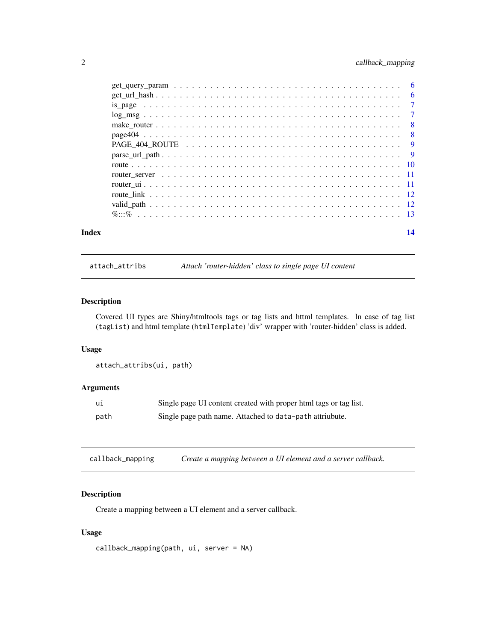#### <span id="page-1-0"></span>2 callback\_mapping

|       | %% |    |
|-------|----|----|
| Index |    | 14 |

attach\_attribs *Attach 'router-hidden' class to single page UI content*

#### Description

Covered UI types are Shiny/htmltools tags or tag lists and httml templates. In case of tag list (tagList) and html template (htmlTemplate) 'div' wrapper with 'router-hidden' class is added.

#### Usage

attach\_attribs(ui, path)

#### Arguments

| U1   | Single page UI content created with proper html tags or tag list. |
|------|-------------------------------------------------------------------|
| path | Single page path name. Attached to data-path attriubute.          |

callback\_mapping *Create a mapping between a UI element and a server callback.*

#### Description

Create a mapping between a UI element and a server callback.

#### Usage

callback\_mapping(path, ui, server = NA)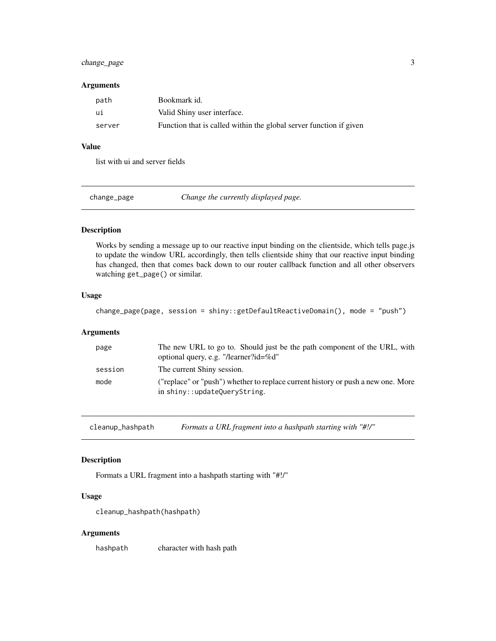#### <span id="page-2-0"></span>change\_page 3

#### Arguments

| path   | Bookmark id.                                                       |
|--------|--------------------------------------------------------------------|
| ui     | Valid Shiny user interface.                                        |
| server | Function that is called within the global server function if given |

#### Value

list with ui and server fields

change\_page *Change the currently displayed page.*

#### Description

Works by sending a message up to our reactive input binding on the clientside, which tells page.js to update the window URL accordingly, then tells clientside shiny that our reactive input binding has changed, then that comes back down to our router callback function and all other observers watching get\_page() or similar.

#### Usage

change\_page(page, session = shiny::getDefaultReactiveDomain(), mode = "push")

#### Arguments

| page    | The new URL to go to. Should just be the path component of the URL, with<br>optional query, e.g. "/learner?id=%d" |
|---------|-------------------------------------------------------------------------------------------------------------------|
| session | The current Shiny session.                                                                                        |
| mode    | ("replace" or "push") whether to replace current history or push a new one. More<br>in shiny::updateQueryString.  |

cleanup\_hashpath *Formats a URL fragment into a hashpath starting with "#!/"*

#### Description

Formats a URL fragment into a hashpath starting with "#!/"

#### Usage

cleanup\_hashpath(hashpath)

#### Arguments

hashpath character with hash path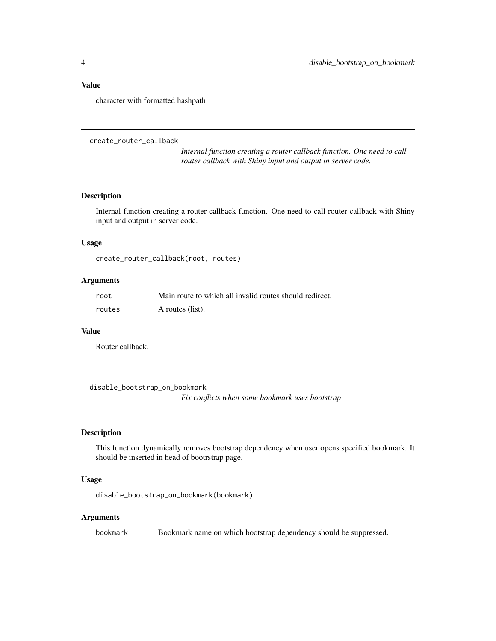#### <span id="page-3-0"></span>Value

character with formatted hashpath

```
create_router_callback
```
*Internal function creating a router callback function. One need to call router callback with Shiny input and output in server code.*

#### Description

Internal function creating a router callback function. One need to call router callback with Shiny input and output in server code.

#### Usage

create\_router\_callback(root, routes)

#### Arguments

| root   | Main route to which all invalid routes should redirect. |
|--------|---------------------------------------------------------|
| routes | A routes (list).                                        |

#### Value

Router callback.

disable\_bootstrap\_on\_bookmark *Fix conflicts when some bookmark uses bootstrap*

#### Description

This function dynamically removes bootstrap dependency when user opens specified bookmark. It should be inserted in head of bootrstrap page.

#### Usage

disable\_bootstrap\_on\_bookmark(bookmark)

#### Arguments

bookmark Bookmark name on which bootstrap dependency should be suppressed.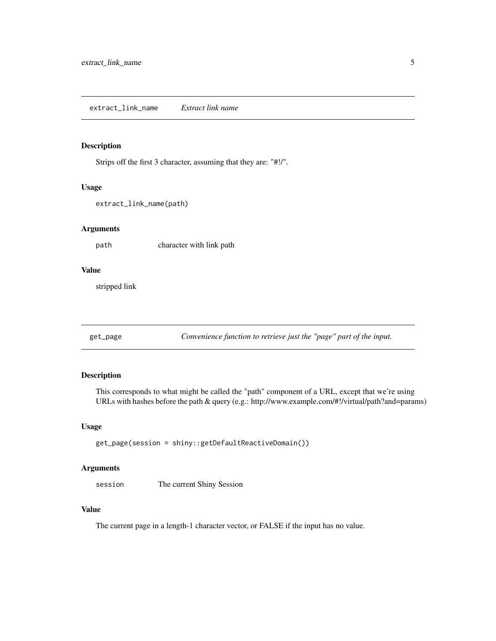#### <span id="page-4-0"></span>Description

Strips off the first 3 character, assuming that they are: "#!/".

#### Usage

```
extract_link_name(path)
```
#### Arguments

path character with link path

#### Value

stripped link

get\_page *Convenience function to retrieve just the "page" part of the input.*

#### Description

This corresponds to what might be called the "path" component of a URL, except that we're using URLs with hashes before the path & query (e.g.: http://www.example.com/#!/virtual/path?and=params)

#### Usage

```
get_page(session = shiny::getDefaultReactiveDomain())
```
#### Arguments

session The current Shiny Session

#### Value

The current page in a length-1 character vector, or FALSE if the input has no value.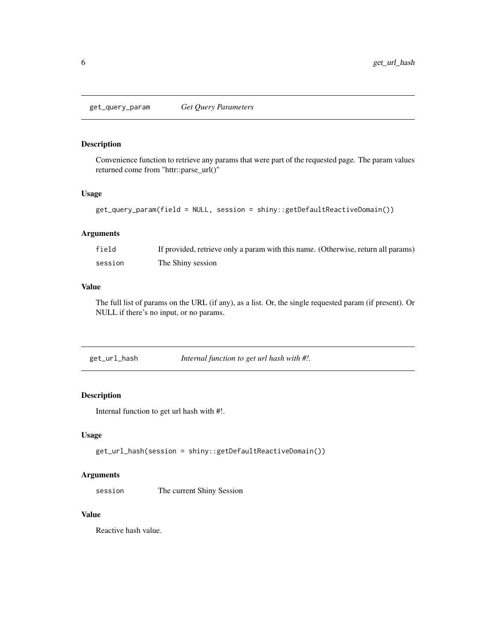<span id="page-5-0"></span>get\_query\_param *Get Query Parameters*

#### Description

Convenience function to retrieve any params that were part of the requested page. The param values returned come from "httr::parse\_url()"

#### Usage

```
get_query_param(field = NULL, session = shiny::getDefaultReactiveDomain())
```
#### Arguments

| field   | If provided, retrieve only a param with this name. (Otherwise, return all params) |
|---------|-----------------------------------------------------------------------------------|
| session | The Shiny session                                                                 |

#### Value

The full list of params on the URL (if any), as a list. Or, the single requested param (if present). Or NULL if there's no input, or no params.

| get_url_hash | Internal function to get url hash with #!. |  |
|--------------|--------------------------------------------|--|
|              |                                            |  |

#### Description

Internal function to get url hash with #!.

#### Usage

```
get_url_hash(session = shiny::getDefaultReactiveDomain())
```
#### Arguments

session The current Shiny Session

#### Value

Reactive hash value.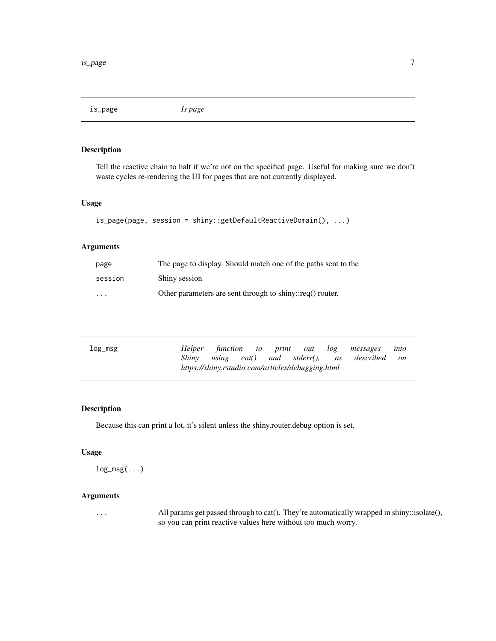<span id="page-6-0"></span>is\_page *Is page*

#### Description

Tell the reactive chain to halt if we're not on the specified page. Useful for making sure we don't waste cycles re-rendering the UI for pages that are not currently displayed.

#### Usage

```
is_page(page, session = shiny::getDefaultReactiveDomain(), ...)
```
#### Arguments

| page                    | The page to display. Should match one of the paths sent to the |
|-------------------------|----------------------------------------------------------------|
| session                 | Shiny session                                                  |
| $\cdot$ $\cdot$ $\cdot$ | Other parameters are sent through to shiny::req() router.      |

| log_msg |  |  |                                                   | Helper function to print out log messages       | into |
|---------|--|--|---------------------------------------------------|-------------------------------------------------|------|
|         |  |  |                                                   | Shiny using cat() and stderr(), as described on |      |
|         |  |  | https://shiny.rstudio.com/articles/debugging.html |                                                 |      |

#### Description

Because this can print a lot, it's silent unless the shiny.router.debug option is set.

#### Usage

 $log_msg(...)$ 

#### Arguments

... All params get passed through to cat(). They're automatically wrapped in shiny::isolate(), so you can print reactive values here without too much worry.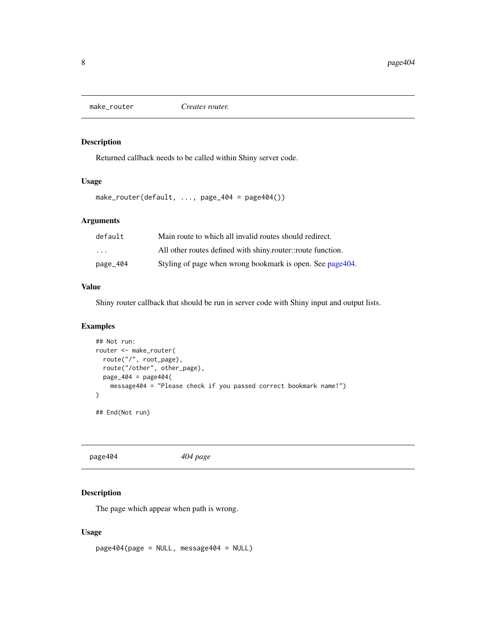<span id="page-7-2"></span><span id="page-7-0"></span>

#### Description

Returned callback needs to be called within Shiny server code.

#### Usage

make\_router(default, ..., page\_404 = page404())

#### Arguments

| default                 | Main route to which all invalid routes should redirect.     |
|-------------------------|-------------------------------------------------------------|
| $\cdot$ $\cdot$ $\cdot$ | All other routes defined with shiny router: route function. |
| page_404                | Styling of page when wrong bookmark is open. See page 404.  |

#### Value

Shiny router callback that should be run in server code with Shiny input and output lists.

#### Examples

```
## Not run:
router <- make_router(
 route("/", root_page),
  route("/other", other_page),
  page_404 = page404(
   message404 = "Please check if you passed correct bookmark name!")
)
## End(Not run)
```
<span id="page-7-1"></span>page404 *404 page*

#### Description

The page which appear when path is wrong.

#### Usage

page404(page = NULL, message404 = NULL)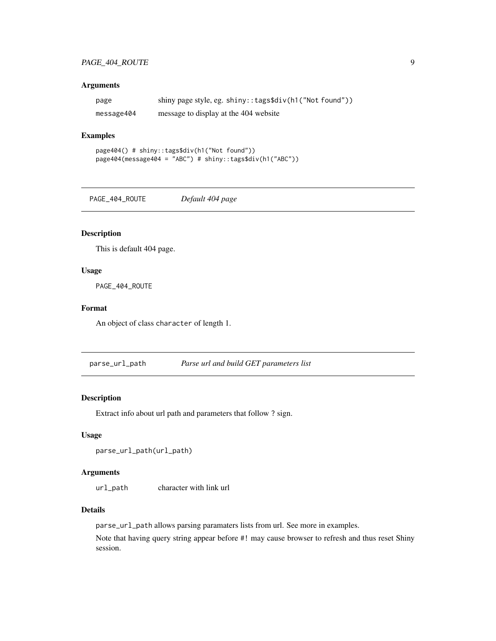#### <span id="page-8-0"></span>PAGE\_404\_ROUTE 9

#### Arguments

| page       | shiny page style, eg. shiny:: tags\$div(h1("Not found")) |
|------------|----------------------------------------------------------|
| message404 | message to display at the 404 website                    |

#### Examples

```
page404() # shiny::tags$div(h1("Not found"))
page404(message404 = "ABC") # shiny::tags$div(h1("ABC"))
```
PAGE\_404\_ROUTE *Default 404 page*

#### Description

This is default 404 page.

#### Usage

PAGE\_404\_ROUTE

#### Format

An object of class character of length 1.

parse\_url\_path *Parse url and build GET parameters list*

#### Description

Extract info about url path and parameters that follow ? sign.

#### Usage

```
parse_url_path(url_path)
```
#### Arguments

url\_path character with link url

#### Details

parse\_url\_path allows parsing paramaters lists from url. See more in examples.

Note that having query string appear before #! may cause browser to refresh and thus reset Shiny session.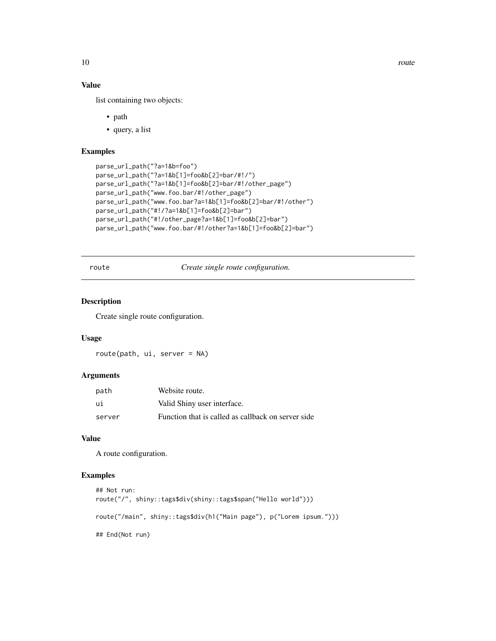10 route that the contract of the contract of the contract of the contract of the contract of the contract of the contract of the contract of the contract of the contract of the contract of the contract of the contract of

#### Value

list containing two objects:

- path
- query, a list

#### Examples

```
parse_url_path("?a=1&b=foo")
parse_url_path("?a=1&b[1]=foo&b[2]=bar/#!/")
parse_url_path("?a=1&b[1]=foo&b[2]=bar/#!/other_page")
parse_url_path("www.foo.bar/#!/other_page")
parse_url_path("www.foo.bar?a=1&b[1]=foo&b[2]=bar/#!/other")
parse_url_path("#!/?a=1&b[1]=foo&b[2]=bar")
parse_url_path("#!/other_page?a=1&b[1]=foo&b[2]=bar")
parse_url_path("www.foo.bar/#!/other?a=1&b[1]=foo&b[2]=bar")
```
route *Create single route configuration.*

#### Description

Create single route configuration.

#### Usage

route(path, ui, server = NA)

#### Arguments

| path   | Website route.                                     |
|--------|----------------------------------------------------|
| ui     | Valid Shiny user interface.                        |
| server | Function that is called as callback on server side |

#### Value

A route configuration.

#### Examples

```
## Not run:
route("/", shiny::tags$div(shiny::tags$span("Hello world")))
route("/main", shiny::tags$div(h1("Main page"), p("Lorem ipsum.")))
## End(Not run)
```
<span id="page-9-0"></span>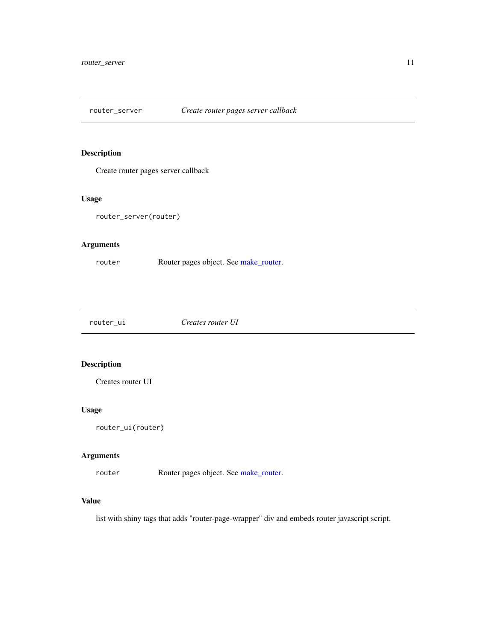<span id="page-10-0"></span>router\_server *Create router pages server callback*

#### Description

Create router pages server callback

#### Usage

router\_server(router)

#### Arguments

router Router pages object. See [make\\_router.](#page-7-2)

router\_ui *Creates router UI*

#### Description

Creates router UI

#### Usage

router\_ui(router)

#### Arguments

router Router pages object. See [make\\_router.](#page-7-2)

#### Value

list with shiny tags that adds "router-page-wrapper" div and embeds router javascript script.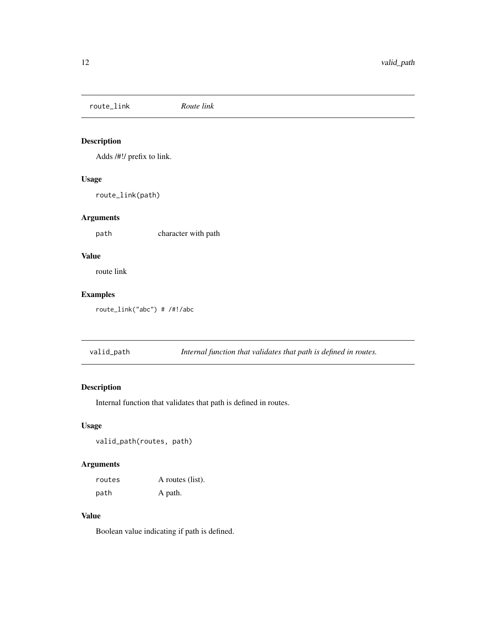<span id="page-11-0"></span>route\_link *Route link*

#### Description

Adds /#!/ prefix to link.

#### Usage

route\_link(path)

#### Arguments

path character with path

#### Value

route link

#### Examples

route\_link("abc") # /#!/abc

|  | valid_path | Internal function that validates that path is defined in routes. |  |
|--|------------|------------------------------------------------------------------|--|
|--|------------|------------------------------------------------------------------|--|

#### Description

Internal function that validates that path is defined in routes.

#### Usage

valid\_path(routes, path)

#### Arguments

| routes | A routes (list). |
|--------|------------------|
| path   | A path.          |

#### Value

Boolean value indicating if path is defined.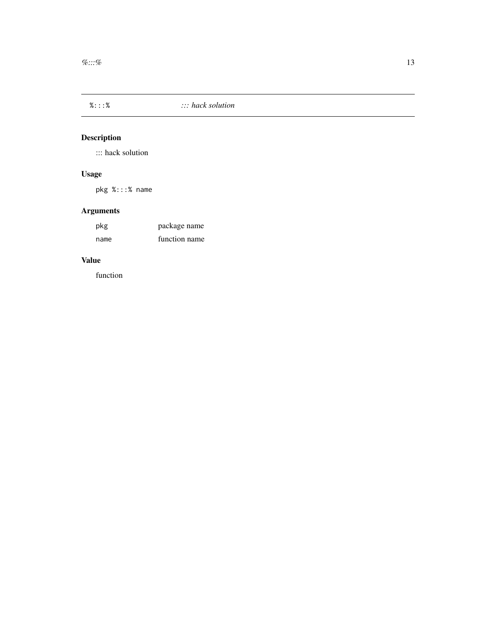<span id="page-12-0"></span>

#### Description

::: hack solution

#### Usage

pkg %:::% name

### Arguments

| pkg  | package name  |
|------|---------------|
| name | function name |

#### Value

function